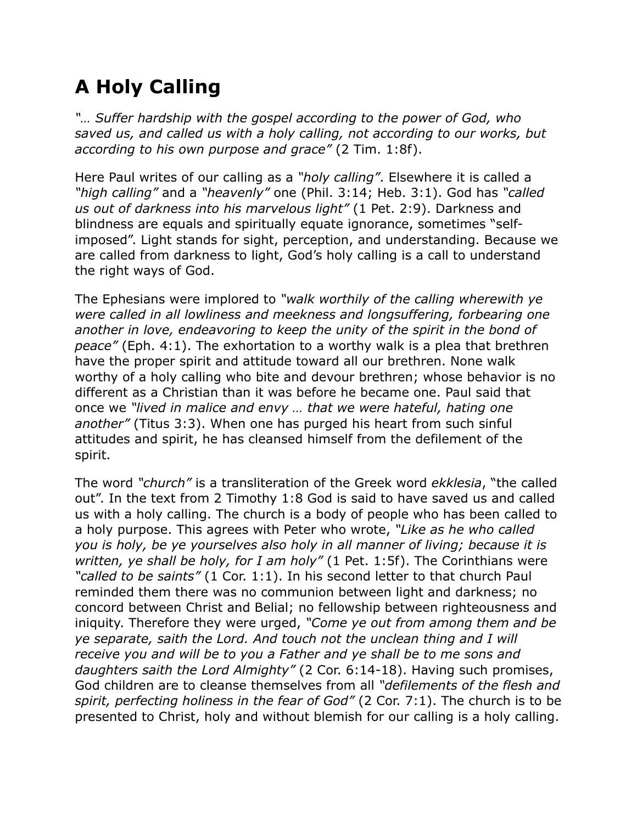## **A Holy Calling**

*"… Suffer hardship with the gospel according to the power of God, who saved us, and called us with a holy calling, not according to our works, but according to his own purpose and grace"* (2 Tim. 1:8f).

Here Paul writes of our calling as a *"holy calling"*. Elsewhere it is called a *"high calling"* and a *"heavenly"* one (Phil. 3:14; Heb. 3:1). God has *"called us out of darkness into his marvelous light"* (1 Pet. 2:9). Darkness and blindness are equals and spiritually equate ignorance, sometimes "selfimposed". Light stands for sight, perception, and understanding. Because we are called from darkness to light, God's holy calling is a call to understand the right ways of God.

The Ephesians were implored to *"walk worthily of the calling wherewith ye were called in all lowliness and meekness and longsuffering, forbearing one another in love, endeavoring to keep the unity of the spirit in the bond of peace"* (Eph. 4:1). The exhortation to a worthy walk is a plea that brethren have the proper spirit and attitude toward all our brethren. None walk worthy of a holy calling who bite and devour brethren; whose behavior is no different as a Christian than it was before he became one. Paul said that once we *"lived in malice and envy … that we were hateful, hating one another"* (Titus 3:3). When one has purged his heart from such sinful attitudes and spirit, he has cleansed himself from the defilement of the spirit.

The word *"church"* is a transliteration of the Greek word *ekklesia*, "the called out". In the text from 2 Timothy 1:8 God is said to have saved us and called us with a holy calling. The church is a body of people who has been called to a holy purpose. This agrees with Peter who wrote, *"Like as he who called you is holy, be ye yourselves also holy in all manner of living; because it is written, ye shall be holy, for I am holy"* (1 Pet. 1:5f). The Corinthians were *"called to be saints"* (1 Cor. 1:1). In his second letter to that church Paul reminded them there was no communion between light and darkness; no concord between Christ and Belial; no fellowship between righteousness and iniquity. Therefore they were urged, *"Come ye out from among them and be ye separate, saith the Lord. And touch not the unclean thing and I will receive you and will be to you a Father and ye shall be to me sons and daughters saith the Lord Almighty"* (2 Cor. 6:14-18). Having such promises, God children are to cleanse themselves from all *"defilements of the flesh and spirit, perfecting holiness in the fear of God"* (2 Cor. 7:1). The church is to be presented to Christ, holy and without blemish for our calling is a holy calling.